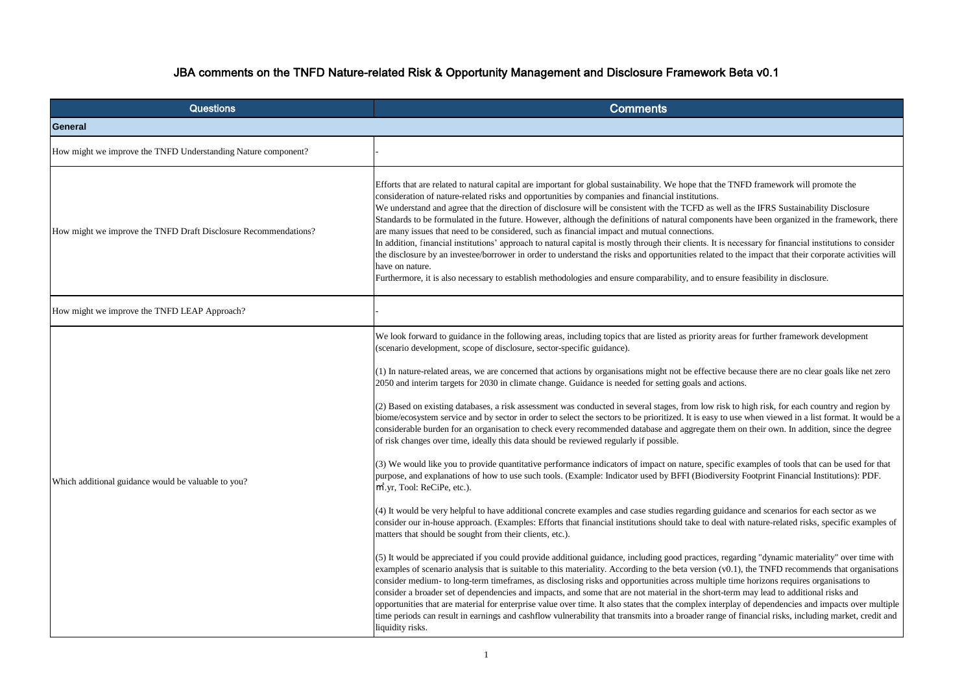| <b>Questions</b>                                                | <b>Comments</b>                                                                                                                                                                                                                                                                                                                                                                                                                                                                                                                                                                                                                                                                                                                                                                                                                                                                                                                                                                                                                                                                                                                                                                                                                                                                                                                                                                                                                                                                                                                                                                                                                                                                                                                                                                                                                                                                                                                                                                                                                                                                                |
|-----------------------------------------------------------------|------------------------------------------------------------------------------------------------------------------------------------------------------------------------------------------------------------------------------------------------------------------------------------------------------------------------------------------------------------------------------------------------------------------------------------------------------------------------------------------------------------------------------------------------------------------------------------------------------------------------------------------------------------------------------------------------------------------------------------------------------------------------------------------------------------------------------------------------------------------------------------------------------------------------------------------------------------------------------------------------------------------------------------------------------------------------------------------------------------------------------------------------------------------------------------------------------------------------------------------------------------------------------------------------------------------------------------------------------------------------------------------------------------------------------------------------------------------------------------------------------------------------------------------------------------------------------------------------------------------------------------------------------------------------------------------------------------------------------------------------------------------------------------------------------------------------------------------------------------------------------------------------------------------------------------------------------------------------------------------------------------------------------------------------------------------------------------------------|
| General                                                         |                                                                                                                                                                                                                                                                                                                                                                                                                                                                                                                                                                                                                                                                                                                                                                                                                                                                                                                                                                                                                                                                                                                                                                                                                                                                                                                                                                                                                                                                                                                                                                                                                                                                                                                                                                                                                                                                                                                                                                                                                                                                                                |
| How might we improve the TNFD Understanding Nature component?   |                                                                                                                                                                                                                                                                                                                                                                                                                                                                                                                                                                                                                                                                                                                                                                                                                                                                                                                                                                                                                                                                                                                                                                                                                                                                                                                                                                                                                                                                                                                                                                                                                                                                                                                                                                                                                                                                                                                                                                                                                                                                                                |
| How might we improve the TNFD Draft Disclosure Recommendations? | Efforts that are related to natural capital are important for global sustainability. We hope that the TNFD<br>consideration of nature-related risks and opportunities by companies and financial institutions.<br>We understand and agree that the direction of disclosure will be consistent with the TCFD as well as the<br>Standards to be formulated in the future. However, although the definitions of natural components have<br>are many issues that need to be considered, such as financial impact and mutual connections.<br>In addition, financial institutions' approach to natural capital is mostly through their clients. It is necess<br>the disclosure by an investee/borrower in order to understand the risks and opportunities related to the i<br>have on nature.<br>Furthermore, it is also necessary to establish methodologies and ensure comparability, and to ensure fear                                                                                                                                                                                                                                                                                                                                                                                                                                                                                                                                                                                                                                                                                                                                                                                                                                                                                                                                                                                                                                                                                                                                                                                           |
| How might we improve the TNFD LEAP Approach?                    |                                                                                                                                                                                                                                                                                                                                                                                                                                                                                                                                                                                                                                                                                                                                                                                                                                                                                                                                                                                                                                                                                                                                                                                                                                                                                                                                                                                                                                                                                                                                                                                                                                                                                                                                                                                                                                                                                                                                                                                                                                                                                                |
| Which additional guidance would be valuable to you?             | We look forward to guidance in the following areas, including topics that are listed as priority areas for<br>(scenario development, scope of disclosure, sector-specific guidance).<br>(1) In nature-related areas, we are concerned that actions by organisations might not be effective because<br>2050 and interim targets for 2030 in climate change. Guidance is needed for setting goals and actions.<br>(2) Based on existing databases, a risk assessment was conducted in several stages, from low risk to high<br>biome/ecosystem service and by sector in order to select the sectors to be prioritized. It is easy to use w<br>considerable burden for an organisation to check every recommended database and aggregate them on t<br>of risk changes over time, ideally this data should be reviewed regularly if possible.<br>$(3)$ We would like you to provide quantitative performance indicators of impact on nature, specific exam-<br>purpose, and explanations of how to use such tools. (Example: Indicator used by BFFI (Biodiversity Fo<br>$m^2$ , yr, Tool: ReCiPe, etc.).<br>(4) It would be very helpful to have additional concrete examples and case studies regarding guidance a<br>consider our in-house approach. (Examples: Efforts that financial institutions should take to deal with n<br>matters that should be sought from their clients, etc.).<br>(5) It would be appreciated if you could provide additional guidance, including good practices, regarding<br>examples of scenario analysis that is suitable to this materiality. According to the beta version (v0.1), the<br>consider medium- to long-term timeframes, as disclosing risks and opportunities across multiple time h<br>consider a broader set of dependencies and impacts, and some that are not material in the short-term ma<br>opportunities that are material for enterprise value over time. It also states that the complex interplay of<br>time periods can result in earnings and cashflow vulnerability that transmits into a broader range of final<br>liquidity risks. |

## JBA comments on the TNFD Nature-related Risk & Opportunity Management and Disclosure Framework Beta v0.1

framework will promote the

ne IFRS Sustainability Disclosure e been organized in the framework, there

sary for financial institutions to consider impact that their corporate activities will

easibility in disclosure.

further framework development

use there are no clear goals like net zero

(igh risk, for each country and region by when viewed in a list format. It would be a their own. In addition, since the degree

umples of tools that can be used for that potprint Financial Institutions): PDF.

and scenarios for each sector as we nature-related risks, specific examples of

ng "dynamic materiality" over time with he TNFD recommends that organisations horizons requires organisations to hay lead to additional risks and dependencies and impacts over multiple. ancial risks, including market, credit and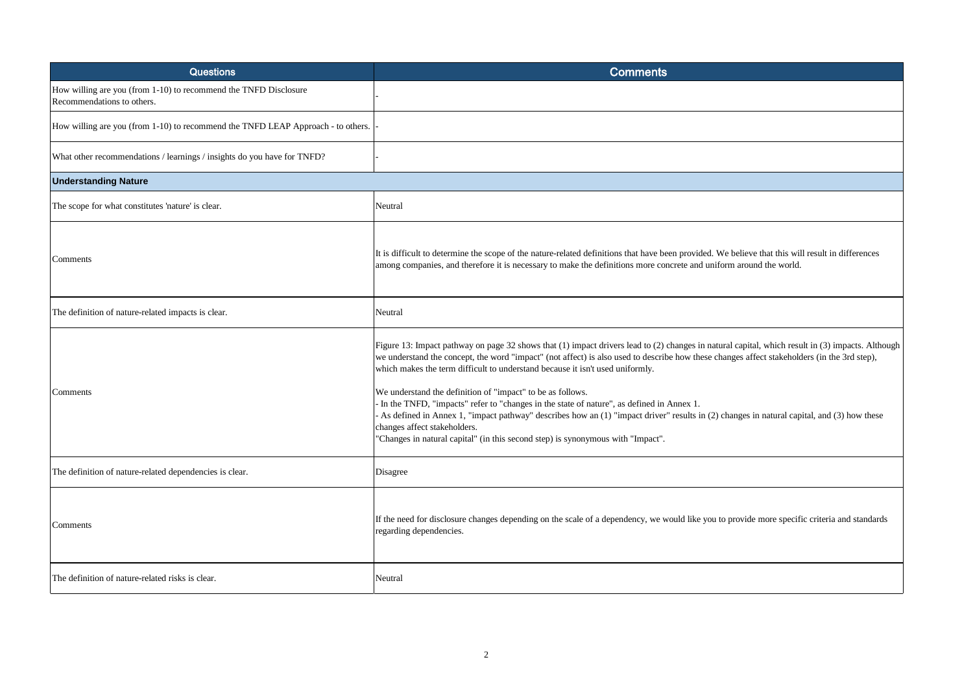| <b>Questions</b>                                                                               | <b>Comments</b>                                                                                                                                                                                                                                                                                                                                                                                                                                                                                                                                                                                                                                                                                                   |
|------------------------------------------------------------------------------------------------|-------------------------------------------------------------------------------------------------------------------------------------------------------------------------------------------------------------------------------------------------------------------------------------------------------------------------------------------------------------------------------------------------------------------------------------------------------------------------------------------------------------------------------------------------------------------------------------------------------------------------------------------------------------------------------------------------------------------|
| How willing are you (from 1-10) to recommend the TNFD Disclosure<br>Recommendations to others. |                                                                                                                                                                                                                                                                                                                                                                                                                                                                                                                                                                                                                                                                                                                   |
| How willing are you (from 1-10) to recommend the TNFD LEAP Approach - to others.               |                                                                                                                                                                                                                                                                                                                                                                                                                                                                                                                                                                                                                                                                                                                   |
| What other recommendations / learnings / insights do you have for TNFD?                        |                                                                                                                                                                                                                                                                                                                                                                                                                                                                                                                                                                                                                                                                                                                   |
| <b>Understanding Nature</b>                                                                    |                                                                                                                                                                                                                                                                                                                                                                                                                                                                                                                                                                                                                                                                                                                   |
| The scope for what constitutes 'nature' is clear.                                              | Neutral                                                                                                                                                                                                                                                                                                                                                                                                                                                                                                                                                                                                                                                                                                           |
| Comments                                                                                       | It is difficult to determine the scope of the nature-related definitions that have been provided. We believe that this will result in differences<br>among companies, and therefore it is necessary to make the definitions more concrete and uniform around the world.                                                                                                                                                                                                                                                                                                                                                                                                                                           |
| The definition of nature-related impacts is clear.                                             | Neutral                                                                                                                                                                                                                                                                                                                                                                                                                                                                                                                                                                                                                                                                                                           |
| Comments                                                                                       | Figure 13: Impact pathway on page 32 shows that (1) impact drivers lead to (2) changes in natural capital, which result in (3) impacts. Alt<br>we understand the concept, the word "impact" (not affect) is also used to describe how these changes affect stakeholders (in the 3rd step),<br>which makes the term difficult to understand because it isn't used uniformly.<br>We understand the definition of "impact" to be as follows.<br>In the TNFD, "impacts" refer to "changes in the state of nature", as defined in Annex 1.<br>As defined in Annex 1, "impact pathway" describes how an (1) "impact driver" results in (2) changes in natural capital, and (3) how thes<br>changes affect stakeholders. |
|                                                                                                | "Changes in natural capital" (in this second step) is synonymous with "Impact".                                                                                                                                                                                                                                                                                                                                                                                                                                                                                                                                                                                                                                   |
| The definition of nature-related dependencies is clear.                                        | Disagree                                                                                                                                                                                                                                                                                                                                                                                                                                                                                                                                                                                                                                                                                                          |
| Comments                                                                                       | If the need for disclosure changes depending on the scale of a dependency, we would like you to provide more specific criteria and standar<br>regarding dependencies.                                                                                                                                                                                                                                                                                                                                                                                                                                                                                                                                             |
| The definition of nature-related risks is clear.                                               | Neutral                                                                                                                                                                                                                                                                                                                                                                                                                                                                                                                                                                                                                                                                                                           |

pital, which result in (3) impacts. Although affect stakeholders (in the 3rd step),

es in natural capital, and (3) how these

ride more specific criteria and standards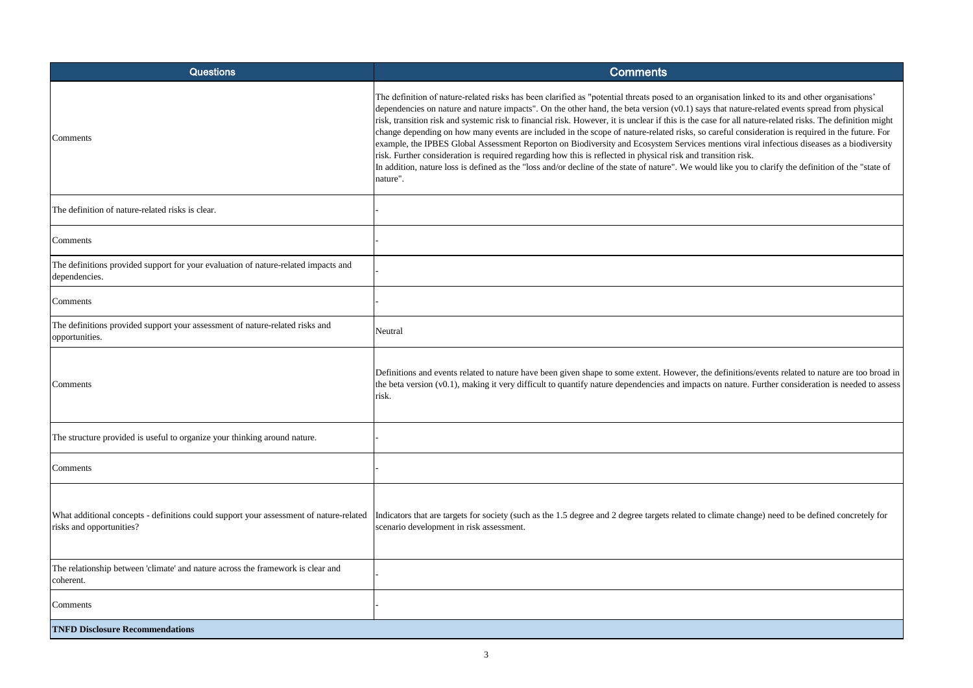| <b>Questions</b>                                                                                                   | <b>Comments</b>                                                                                                                                                                                                                                                                                                                                                                                                                                                                                                                                                                                                                                                                                                                                                                                           |
|--------------------------------------------------------------------------------------------------------------------|-----------------------------------------------------------------------------------------------------------------------------------------------------------------------------------------------------------------------------------------------------------------------------------------------------------------------------------------------------------------------------------------------------------------------------------------------------------------------------------------------------------------------------------------------------------------------------------------------------------------------------------------------------------------------------------------------------------------------------------------------------------------------------------------------------------|
| Comments                                                                                                           | The definition of nature-related risks has been clarified as "potential threats posed to an organisation lin<br>dependencies on nature and nature impacts". On the other hand, the beta version $(v0.1)$ says that nature<br>risk, transition risk and systemic risk to financial risk. However, it is unclear if this is the case for all na<br>change depending on how many events are included in the scope of nature-related risks, so careful cons<br>example, the IPBES Global Assessment Reporton on Biodiversity and Ecosystem Services mentions vir<br>risk. Further consideration is required regarding how this is reflected in physical risk and transition risk.<br>In addition, nature loss is defined as the "loss and/or decline of the state of nature". We would like you t<br>nature". |
| The definition of nature-related risks is clear.                                                                   |                                                                                                                                                                                                                                                                                                                                                                                                                                                                                                                                                                                                                                                                                                                                                                                                           |
| Comments                                                                                                           |                                                                                                                                                                                                                                                                                                                                                                                                                                                                                                                                                                                                                                                                                                                                                                                                           |
| The definitions provided support for your evaluation of nature-related impacts and<br>dependencies.                |                                                                                                                                                                                                                                                                                                                                                                                                                                                                                                                                                                                                                                                                                                                                                                                                           |
| Comments                                                                                                           |                                                                                                                                                                                                                                                                                                                                                                                                                                                                                                                                                                                                                                                                                                                                                                                                           |
| The definitions provided support your assessment of nature-related risks and<br>opportunities.                     | Neutral                                                                                                                                                                                                                                                                                                                                                                                                                                                                                                                                                                                                                                                                                                                                                                                                   |
| Comments                                                                                                           | Definitions and events related to nature have been given shape to some extent. However, the definitions<br>the beta version (v0.1), making it very difficult to quantify nature dependencies and impacts on nature.<br>risk.                                                                                                                                                                                                                                                                                                                                                                                                                                                                                                                                                                              |
| The structure provided is useful to organize your thinking around nature.                                          |                                                                                                                                                                                                                                                                                                                                                                                                                                                                                                                                                                                                                                                                                                                                                                                                           |
| Comments                                                                                                           |                                                                                                                                                                                                                                                                                                                                                                                                                                                                                                                                                                                                                                                                                                                                                                                                           |
| What additional concepts - definitions could support your assessment of nature-related<br>risks and opportunities? | Indicators that are targets for society (such as the 1.5 degree and 2 degree targets related to climate chan<br>scenario development in risk assessment.                                                                                                                                                                                                                                                                                                                                                                                                                                                                                                                                                                                                                                                  |
| The relationship between 'climate' and nature across the framework is clear and<br>coherent.                       |                                                                                                                                                                                                                                                                                                                                                                                                                                                                                                                                                                                                                                                                                                                                                                                                           |
| Comments                                                                                                           |                                                                                                                                                                                                                                                                                                                                                                                                                                                                                                                                                                                                                                                                                                                                                                                                           |
| <b>TNFD Disclosure Recommendations</b>                                                                             |                                                                                                                                                                                                                                                                                                                                                                                                                                                                                                                                                                                                                                                                                                                                                                                                           |

linked to its and other organisations' re-related events spread from physical nature-related risks. The definition might many many events are in the scope of nature-relation is required in the future. For viral infectious diseases as a biodiversity

In to clarify the definition of the "state of

ns/events related to nature are too broad in . Further consideration is needed to assess

ange) need to be defined concretely for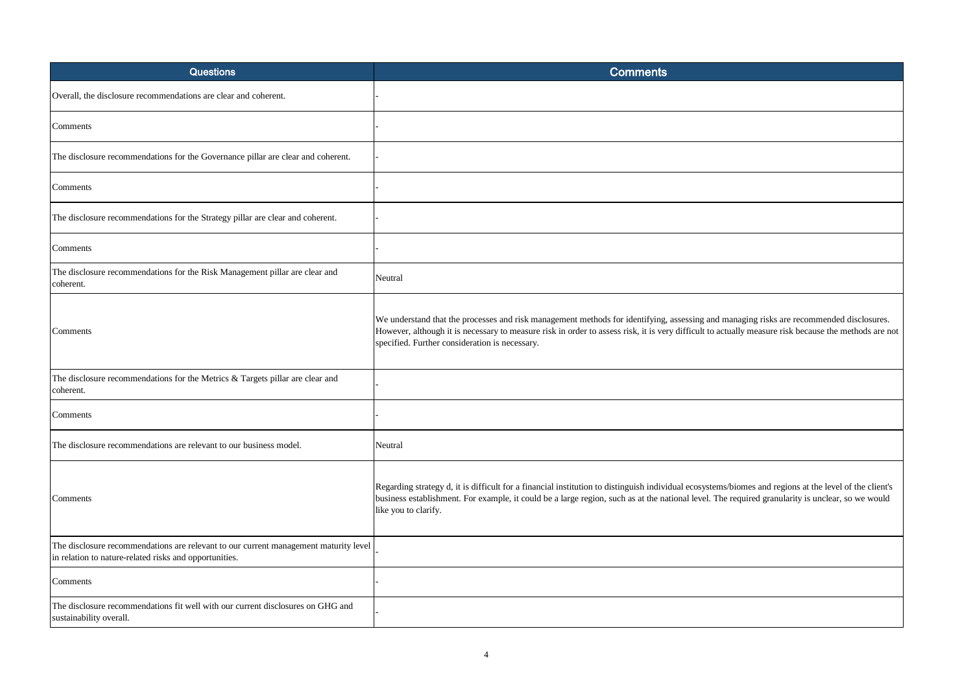| <b>Questions</b>                                                                                                                               | <b>Comments</b>                                                                                                                                                                                                                                                                                                                                   |
|------------------------------------------------------------------------------------------------------------------------------------------------|---------------------------------------------------------------------------------------------------------------------------------------------------------------------------------------------------------------------------------------------------------------------------------------------------------------------------------------------------|
| Overall, the disclosure recommendations are clear and coherent.                                                                                |                                                                                                                                                                                                                                                                                                                                                   |
| Comments                                                                                                                                       |                                                                                                                                                                                                                                                                                                                                                   |
| The disclosure recommendations for the Governance pillar are clear and coherent.                                                               |                                                                                                                                                                                                                                                                                                                                                   |
| Comments                                                                                                                                       |                                                                                                                                                                                                                                                                                                                                                   |
| The disclosure recommendations for the Strategy pillar are clear and coherent.                                                                 |                                                                                                                                                                                                                                                                                                                                                   |
| Comments                                                                                                                                       |                                                                                                                                                                                                                                                                                                                                                   |
| The disclosure recommendations for the Risk Management pillar are clear and<br>coherent.                                                       | Neutral                                                                                                                                                                                                                                                                                                                                           |
| Comments                                                                                                                                       | We understand that the processes and risk management methods for identifying, assessing and managing risks are recommended disclosures.<br>However, although it is necessary to measure risk in order to assess risk, it is very difficult to actually measure risk because the methods are not<br>specified. Further consideration is necessary. |
| The disclosure recommendations for the Metrics & Targets pillar are clear and<br>coherent.                                                     |                                                                                                                                                                                                                                                                                                                                                   |
| Comments                                                                                                                                       |                                                                                                                                                                                                                                                                                                                                                   |
| The disclosure recommendations are relevant to our business model.                                                                             | Neutral                                                                                                                                                                                                                                                                                                                                           |
| Comments                                                                                                                                       | Regarding strategy d, it is difficult for a financial institution to distinguish individual ecosystems/biomes and regions at the level of the client's<br>business establishment. For example, it could be a large region, such as at the national level. The required granularity is unclear, so we would<br>like you to clarify.                |
| The disclosure recommendations are relevant to our current management maturity level<br>in relation to nature-related risks and opportunities. |                                                                                                                                                                                                                                                                                                                                                   |
| Comments                                                                                                                                       |                                                                                                                                                                                                                                                                                                                                                   |
| The disclosure recommendations fit well with our current disclosures on GHG and<br>sustainability overall.                                     |                                                                                                                                                                                                                                                                                                                                                   |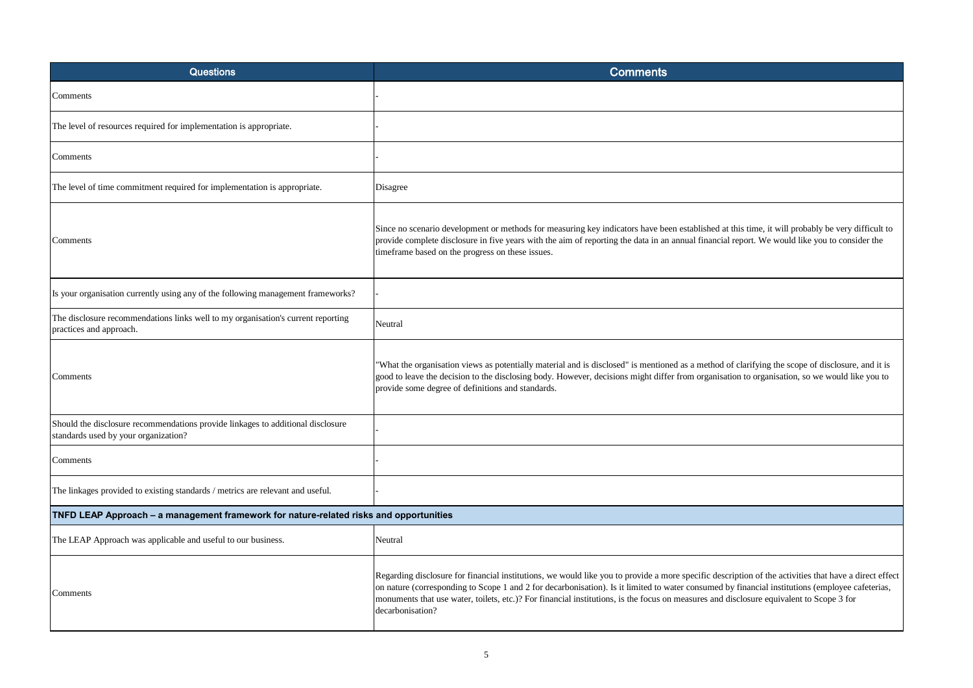| <b>Questions</b>                                                                                                        | <b>Comments</b>                                                                                                                                                                                                                                                                                                                                                                                                                                                       |
|-------------------------------------------------------------------------------------------------------------------------|-----------------------------------------------------------------------------------------------------------------------------------------------------------------------------------------------------------------------------------------------------------------------------------------------------------------------------------------------------------------------------------------------------------------------------------------------------------------------|
| Comments                                                                                                                |                                                                                                                                                                                                                                                                                                                                                                                                                                                                       |
| The level of resources required for implementation is appropriate.                                                      |                                                                                                                                                                                                                                                                                                                                                                                                                                                                       |
| Comments                                                                                                                |                                                                                                                                                                                                                                                                                                                                                                                                                                                                       |
| The level of time commitment required for implementation is appropriate.                                                | Disagree                                                                                                                                                                                                                                                                                                                                                                                                                                                              |
| Comments                                                                                                                | Since no scenario development or methods for measuring key indicators have been established at this time, it will probably be very difficult to<br>provide complete disclosure in five years with the aim of reporting the data in an annual financial report. We would like you to consider the<br>timeframe based on the progress on these issues.                                                                                                                  |
| Is your organisation currently using any of the following management frameworks?                                        |                                                                                                                                                                                                                                                                                                                                                                                                                                                                       |
| The disclosure recommendations links well to my organisation's current reporting<br>practices and approach.             | Neutral                                                                                                                                                                                                                                                                                                                                                                                                                                                               |
| Comments                                                                                                                | 'What the organisation views as potentially material and is disclosed" is mentioned as a method of clarifying the scope of disclosure, and it is<br>good to leave the decision to the disclosing body. However, decisions might differ from organisation to organisation, so we would like you to<br>provide some degree of definitions and standards.                                                                                                                |
| Should the disclosure recommendations provide linkages to additional disclosure<br>standards used by your organization? |                                                                                                                                                                                                                                                                                                                                                                                                                                                                       |
| Comments                                                                                                                |                                                                                                                                                                                                                                                                                                                                                                                                                                                                       |
| The linkages provided to existing standards / metrics are relevant and useful.                                          |                                                                                                                                                                                                                                                                                                                                                                                                                                                                       |
| TNFD LEAP Approach - a management framework for nature-related risks and opportunities                                  |                                                                                                                                                                                                                                                                                                                                                                                                                                                                       |
| The LEAP Approach was applicable and useful to our business.                                                            | Neutral                                                                                                                                                                                                                                                                                                                                                                                                                                                               |
| Comments                                                                                                                | Regarding disclosure for financial institutions, we would like you to provide a more specific description of the activities that have a direct effe<br>on nature (corresponding to Scope 1 and 2 for decarbonisation). Is it limited to water consumed by financial institutions (employee cafeterias,<br>monuments that use water, toilets, etc.)? For financial institutions, is the focus on measures and disclosure equivalent to Scope 3 for<br>decarbonisation? |

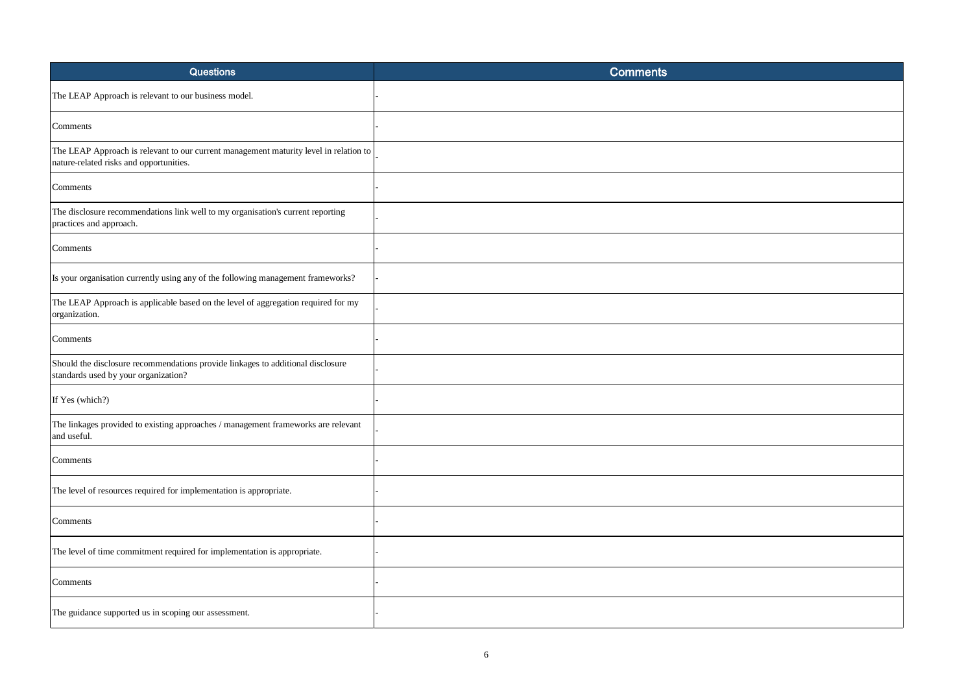| <b>Questions</b>                                                                                                                 | <b>Comments</b> |
|----------------------------------------------------------------------------------------------------------------------------------|-----------------|
| The LEAP Approach is relevant to our business model.                                                                             |                 |
| Comments                                                                                                                         |                 |
| The LEAP Approach is relevant to our current management maturity level in relation to<br>nature-related risks and opportunities. |                 |
| Comments                                                                                                                         |                 |
| The disclosure recommendations link well to my organisation's current reporting<br>practices and approach.                       |                 |
| Comments                                                                                                                         |                 |
| Is your organisation currently using any of the following management frameworks?                                                 |                 |
| The LEAP Approach is applicable based on the level of aggregation required for my<br>organization.                               |                 |
| Comments                                                                                                                         |                 |
| Should the disclosure recommendations provide linkages to additional disclosure<br>standards used by your organization?          |                 |
| If Yes (which?)                                                                                                                  |                 |
| The linkages provided to existing approaches / management frameworks are relevant<br>and useful.                                 |                 |
| Comments                                                                                                                         |                 |
| The level of resources required for implementation is appropriate.                                                               |                 |
| Comments                                                                                                                         |                 |
| The level of time commitment required for implementation is appropriate.                                                         |                 |
| Comments                                                                                                                         |                 |
| The guidance supported us in scoping our assessment.                                                                             |                 |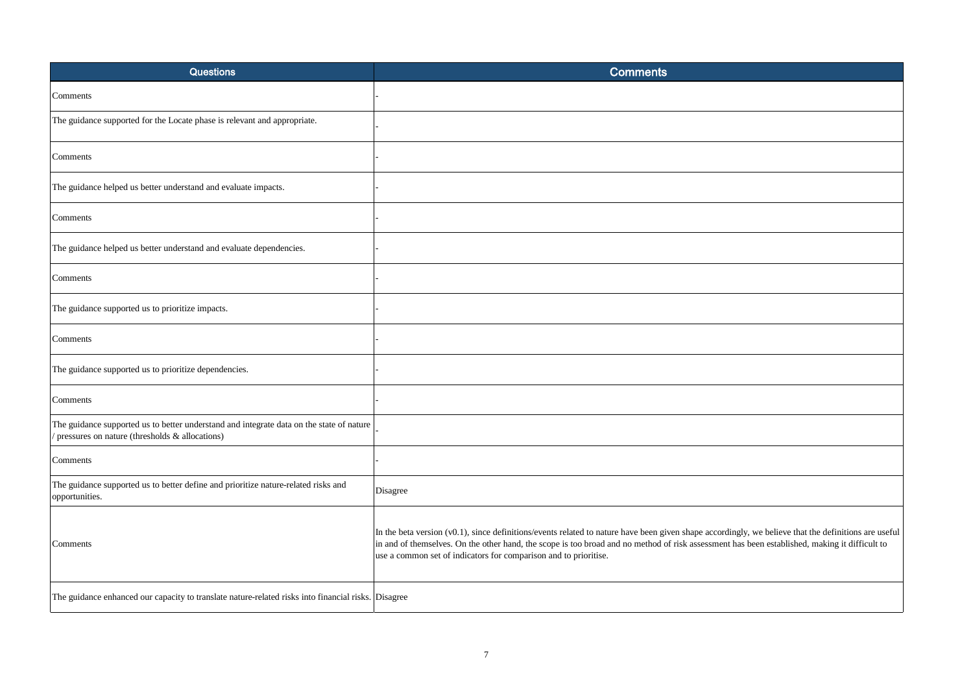| <b>Questions</b>                                                                                                                           | <b>Comments</b>                                                                                                                                                                                                                                                                                                                                                           |
|--------------------------------------------------------------------------------------------------------------------------------------------|---------------------------------------------------------------------------------------------------------------------------------------------------------------------------------------------------------------------------------------------------------------------------------------------------------------------------------------------------------------------------|
| Comments                                                                                                                                   |                                                                                                                                                                                                                                                                                                                                                                           |
| The guidance supported for the Locate phase is relevant and appropriate.                                                                   |                                                                                                                                                                                                                                                                                                                                                                           |
| Comments                                                                                                                                   |                                                                                                                                                                                                                                                                                                                                                                           |
| The guidance helped us better understand and evaluate impacts.                                                                             |                                                                                                                                                                                                                                                                                                                                                                           |
| Comments                                                                                                                                   |                                                                                                                                                                                                                                                                                                                                                                           |
| The guidance helped us better understand and evaluate dependencies.                                                                        |                                                                                                                                                                                                                                                                                                                                                                           |
| Comments                                                                                                                                   |                                                                                                                                                                                                                                                                                                                                                                           |
| The guidance supported us to prioritize impacts.                                                                                           |                                                                                                                                                                                                                                                                                                                                                                           |
| Comments                                                                                                                                   |                                                                                                                                                                                                                                                                                                                                                                           |
| The guidance supported us to prioritize dependencies.                                                                                      |                                                                                                                                                                                                                                                                                                                                                                           |
| Comments                                                                                                                                   |                                                                                                                                                                                                                                                                                                                                                                           |
| The guidance supported us to better understand and integrate data on the state of nature<br>pressures on nature (thresholds & allocations) |                                                                                                                                                                                                                                                                                                                                                                           |
| Comments                                                                                                                                   |                                                                                                                                                                                                                                                                                                                                                                           |
| The guidance supported us to better define and prioritize nature-related risks and<br>opportunities.                                       | Disagree                                                                                                                                                                                                                                                                                                                                                                  |
| Comments                                                                                                                                   | In the beta version (v0.1), since definitions/events related to nature have been given shape accordingly, we believe that the definitions are useful<br>in and of themselves. On the other hand, the scope is too broad and no method of risk assessment has been established, making it difficult to<br>use a common set of indicators for comparison and to prioritise. |
| The guidance enhanced our capacity to translate nature-related risks into financial risks. Disagree                                        |                                                                                                                                                                                                                                                                                                                                                                           |

| ly, we believe that the definitions are useful<br>s been established, making it difficult to |  |
|----------------------------------------------------------------------------------------------|--|
|                                                                                              |  |
|                                                                                              |  |
|                                                                                              |  |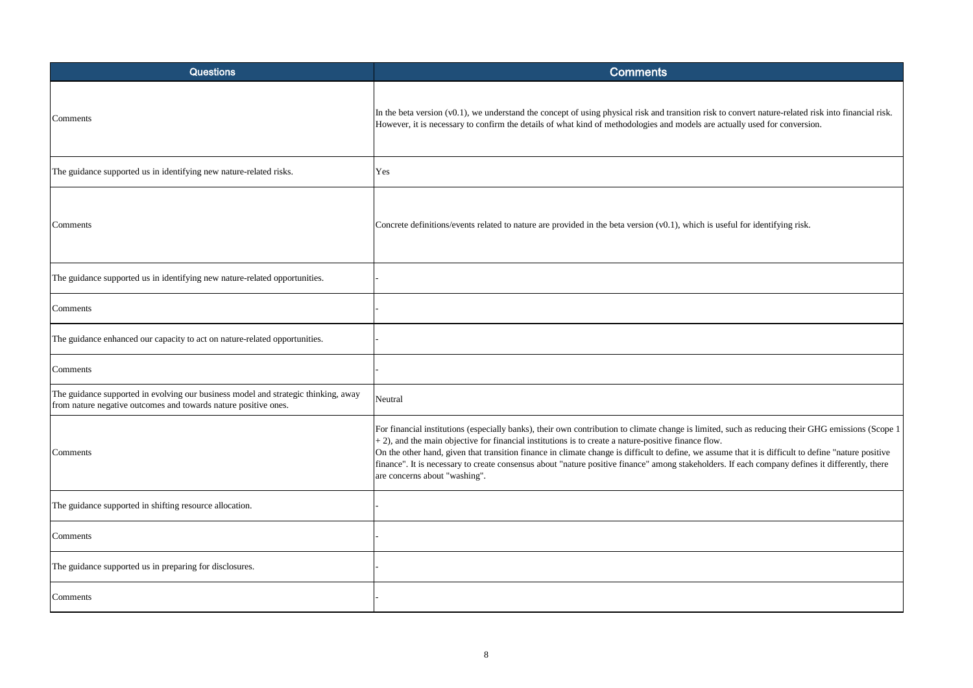| <b>Questions</b>                                                                                                                                      | <b>Comments</b>                                                                                                                                                                                                                                                                                                                                                                                                                                                                                                                      |
|-------------------------------------------------------------------------------------------------------------------------------------------------------|--------------------------------------------------------------------------------------------------------------------------------------------------------------------------------------------------------------------------------------------------------------------------------------------------------------------------------------------------------------------------------------------------------------------------------------------------------------------------------------------------------------------------------------|
| Comments                                                                                                                                              | In the beta version (v0.1), we understand the concept of using physical risk and transition risk to convert nature-related<br>However, it is necessary to confirm the details of what kind of methodologies and models are actually used for conversi-                                                                                                                                                                                                                                                                               |
| The guidance supported us in identifying new nature-related risks.                                                                                    | Yes                                                                                                                                                                                                                                                                                                                                                                                                                                                                                                                                  |
| Comments                                                                                                                                              | Concrete definitions/events related to nature are provided in the beta version (v0.1), which is useful for identifying risk                                                                                                                                                                                                                                                                                                                                                                                                          |
| The guidance supported us in identifying new nature-related opportunities.                                                                            |                                                                                                                                                                                                                                                                                                                                                                                                                                                                                                                                      |
| Comments                                                                                                                                              |                                                                                                                                                                                                                                                                                                                                                                                                                                                                                                                                      |
| The guidance enhanced our capacity to act on nature-related opportunities.                                                                            |                                                                                                                                                                                                                                                                                                                                                                                                                                                                                                                                      |
| Comments                                                                                                                                              |                                                                                                                                                                                                                                                                                                                                                                                                                                                                                                                                      |
| The guidance supported in evolving our business model and strategic thinking, away<br>from nature negative outcomes and towards nature positive ones. | Neutral                                                                                                                                                                                                                                                                                                                                                                                                                                                                                                                              |
| Comments                                                                                                                                              | For financial institutions (especially banks), their own contribution to climate change is limited, such as reducing their (<br>$+$ 2), and the main objective for financial institutions is to create a nature-positive finance flow.<br>On the other hand, given that transition finance in climate change is difficult to define, we assume that it is difficult to d<br>finance". It is necessary to create consensus about "nature positive finance" among stakeholders. If each company defin<br>are concerns about "washing". |
| The guidance supported in shifting resource allocation.                                                                                               |                                                                                                                                                                                                                                                                                                                                                                                                                                                                                                                                      |
| Comments                                                                                                                                              |                                                                                                                                                                                                                                                                                                                                                                                                                                                                                                                                      |
| The guidance supported us in preparing for disclosures.                                                                                               |                                                                                                                                                                                                                                                                                                                                                                                                                                                                                                                                      |
| Comments                                                                                                                                              |                                                                                                                                                                                                                                                                                                                                                                                                                                                                                                                                      |

vert nature-related risk into financial risk. weverston to conversion. as reducing their GHG emissions (Scope 1 at it is difficult to define "nature positive ch company defines it differently, there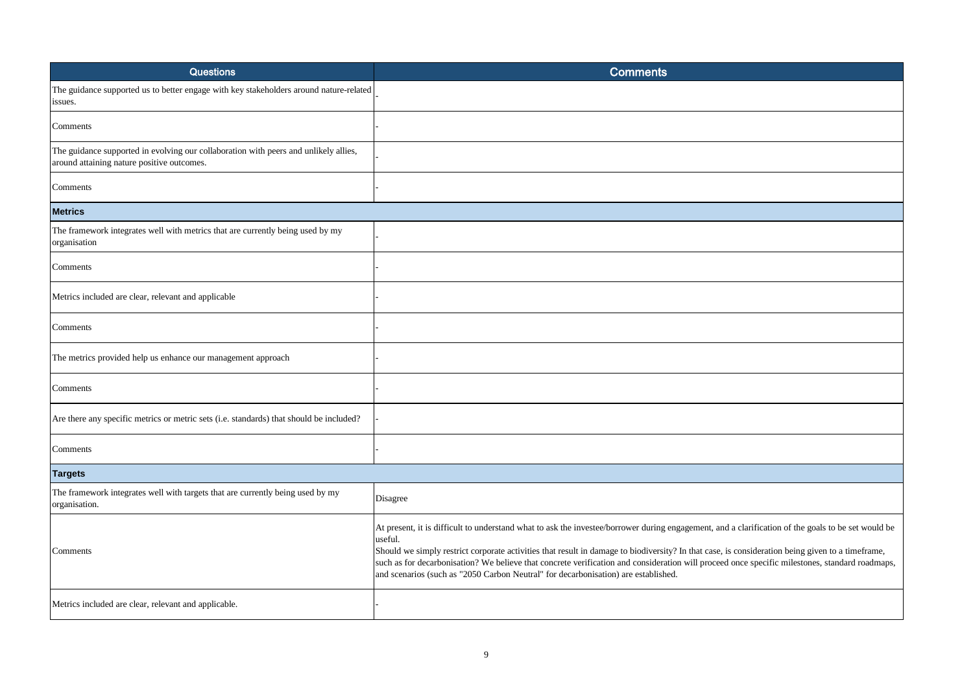| <b>Questions</b>                                                                                                                   | <b>Comments</b>                                                                                                                                                                                                                                                                                                                                                                                                                                                                                                                                           |
|------------------------------------------------------------------------------------------------------------------------------------|-----------------------------------------------------------------------------------------------------------------------------------------------------------------------------------------------------------------------------------------------------------------------------------------------------------------------------------------------------------------------------------------------------------------------------------------------------------------------------------------------------------------------------------------------------------|
| The guidance supported us to better engage with key stakeholders around nature-related<br>issues.                                  |                                                                                                                                                                                                                                                                                                                                                                                                                                                                                                                                                           |
| Comments                                                                                                                           |                                                                                                                                                                                                                                                                                                                                                                                                                                                                                                                                                           |
| The guidance supported in evolving our collaboration with peers and unlikely allies,<br>around attaining nature positive outcomes. |                                                                                                                                                                                                                                                                                                                                                                                                                                                                                                                                                           |
| Comments                                                                                                                           |                                                                                                                                                                                                                                                                                                                                                                                                                                                                                                                                                           |
| <b>Metrics</b>                                                                                                                     |                                                                                                                                                                                                                                                                                                                                                                                                                                                                                                                                                           |
| The framework integrates well with metrics that are currently being used by my<br>organisation                                     |                                                                                                                                                                                                                                                                                                                                                                                                                                                                                                                                                           |
| Comments                                                                                                                           |                                                                                                                                                                                                                                                                                                                                                                                                                                                                                                                                                           |
| Metrics included are clear, relevant and applicable                                                                                |                                                                                                                                                                                                                                                                                                                                                                                                                                                                                                                                                           |
| Comments                                                                                                                           |                                                                                                                                                                                                                                                                                                                                                                                                                                                                                                                                                           |
| The metrics provided help us enhance our management approach                                                                       |                                                                                                                                                                                                                                                                                                                                                                                                                                                                                                                                                           |
| Comments                                                                                                                           |                                                                                                                                                                                                                                                                                                                                                                                                                                                                                                                                                           |
| Are there any specific metrics or metric sets (i.e. standards) that should be included?                                            |                                                                                                                                                                                                                                                                                                                                                                                                                                                                                                                                                           |
| Comments                                                                                                                           |                                                                                                                                                                                                                                                                                                                                                                                                                                                                                                                                                           |
| <b>Targets</b>                                                                                                                     |                                                                                                                                                                                                                                                                                                                                                                                                                                                                                                                                                           |
| The framework integrates well with targets that are currently being used by my<br>organisation.                                    | Disagree                                                                                                                                                                                                                                                                                                                                                                                                                                                                                                                                                  |
| Comments                                                                                                                           | At present, it is difficult to understand what to ask the investee/borrower during engagement, and a clarification of the goals to be set would be<br>useful.<br>Should we simply restrict corporate activities that result in damage to biodiversity? In that case, is consideration being given to a timeframe,<br>such as for decarbonisation? We believe that concrete verification and consideration will proceed once specific milestones, standard roadmaps,<br>and scenarios (such as "2050 Carbon Neutral" for decarbonisation) are established. |
| Metrics included are clear, relevant and applicable.                                                                               |                                                                                                                                                                                                                                                                                                                                                                                                                                                                                                                                                           |